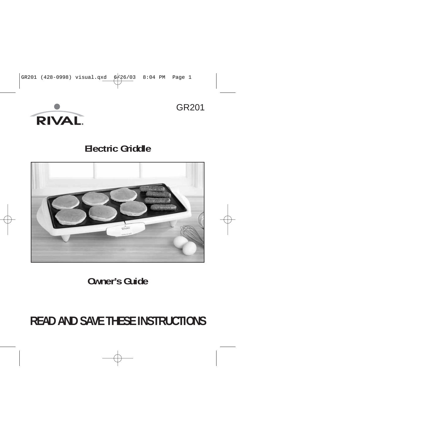

GR201

### **Electric Griddle**



**Owner's Guide**

# **READ AND SAVE THESE INSTRUCTIONS**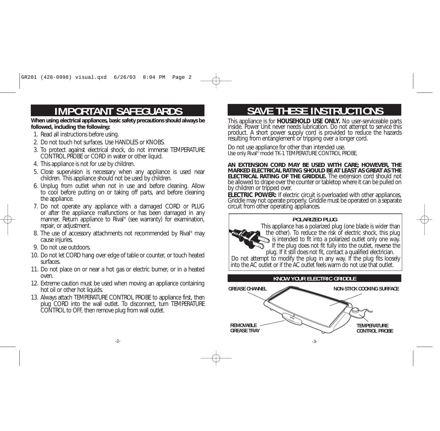# **IMPORTANT SAFEGUARDS**

**When using electrical appliances, basic safety precautions should always be followed, including the following:** 

- 1. Read all instructions before using.
- 2. Do not touch hot surfaces. Use HANDLES or KNOBS.
- 3. To protect against electrical shock, do not immerse TEMPERATURE CONTROL PROBE or CORD in water or other liquid.
- 4. This appliance is not for use by children.
- 5. Close supervision is necessary when any appliance is used near children. This appliance should not be used by children.
- 6. Unplug from outlet when not in use and before cleaning. Allow to cool before putting on or taking off parts, and before cleaning the appliance.
- 7. Do not operate any appliance with a damaged CORD or PLUG or after the appliance malfunctions or has been damaged in any manner. Return appliance to Rival<sup>®</sup> (see warranty) for examination, repair, or adjustment.
- 8. The use of accessory attachments not recommended by Rival<sup>®</sup> may cause injuries.
- 9. Do not use outdoors.
- 10. Do not let CORD hang over edge of table or counter, or touch heated surfaces.
- 11. Do not place on or near a hot gas or electric burner, or in a heated oven.
- 12. Extreme caution must be used when moving an appliance containing hot oil or other hot liquids.
- 13. Always attach TEMPERATURE CONTROL PROBE to appliance first, then plug CORD into the wall outlet. To disconnect, turn TEMPERATURE CONTROL to OFF, then remove plug from wall outlet.

## **SAVE THESE INSTRUCTIONS**

This appliance is for **HOUSEHOLD USE ONLY**. No user-serviceable parts inside. Power Unit never needs lubrication. Do not attempt to service this product. A short power supply cord is provided to reduce the hazards resultin

Do not use appliance for other than intended use. Use only Rival<sup>®</sup> model TK-1 TEMPERATURE CONTROL PROBE.

**AN EXTENSION CORD MAY BE USED WITH CARE; HOWEVER, THE MARKED ELECTRICAL RATING SHOULD BE AT LEAST AS GREAT AS THE ELECTRICAL RATING OF THE GRIDDLE.** The extension cord should notbe allowed to drape over the counter or tabletop where it can be pulled or<br>by children or tripped over.

**ELECTRIC POWER:** If electric circuit is overloaded with other appliances, Griddle may not operate properly. Griddle must be operated on a separate circuit from other operating appliances.

### **POLARIZED PLUG**

This appliance has a polarized plug (one blade is wider than the other). To reduce the risk of electric shock, this plug is intended to fit into a polarized outlet only one way. If the plug does not fit fully into the outlet, reverse the plug. If it still does not fit, contact a qualified electrician. Do not attempt to modify the plug in any way. If the plug fits loosely into the AC outlet or if the AC outlet feels warm do not use that outlet.

### **KNOW YOUR ELECTRIC GRIDDLE**

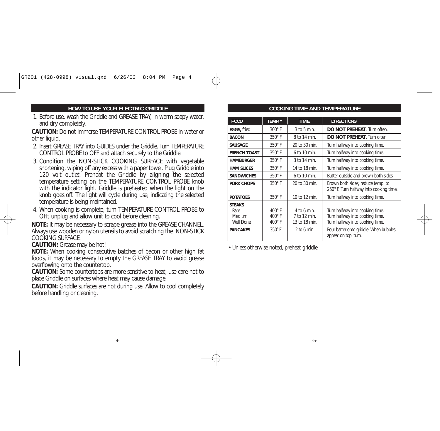#### **HOW TO USE YOUR ELECTRIC GRIDDLE**

1. Before use, wash the Griddle and GREASE TRAY, in warm soapy water, and dry completely.

**CAUTION:** Do not immerse TEMPERATURE CONTROL PROBE in water orother liquid.

- 2. Insert GREASE TRAY into GUIDES under the Griddle. Turn TEMPERATURECONTROL PROBE to OFF and attach securely to the Griddle.
- 3. Condition the NON-STICK COOKING SURFACE with vegetable shortening, wiping off any excess with a paper towel. Plug Griddle into 120 volt outlet. Preheat the Griddle by aligning the selected temperature setting on the TEMPERATURE CONTROL PROBE knob with the indicator light. Griddle is preheated when the light on the knob goes off. The light will cycle during use, indicating the selected temperature is being maintained.
- 4. When cooking is complete, turn TEMPERATURE CONTROL PROBE to OFF, unplug and allow unit to cool before cleaning.

**NOTE:** It may be necessary to scrape grease into the GREASE CHANNEL. Always use wooden or nylon utensils to avoid scratching the NON-STICK COOKING SURFACE.

**CAUTION:** Grease may be hot!

**NOTE:** When cooking consecutive batches of bacon or other high fat foods, it may be necessary to empty the GREASE TRAY to avoid grease overflowing onto the countertop.

**CAUTION:** Some countertops are more sensitive to heat, use care not to place Griddle on surfaces where heat may cause damage.

**CAUTION:** Griddle surfaces are hot during use. Allow to cool completely before handling or cleaning.

#### **COOKING TIME AND TEMPERATURE**

| <b>FOOD</b>                                                     | TEMP.*                                                           | <b>TIME</b>                                                     | <b>DIRECTIONS</b>                                                                                                                               |
|-----------------------------------------------------------------|------------------------------------------------------------------|-----------------------------------------------------------------|-------------------------------------------------------------------------------------------------------------------------------------------------|
| EGGS, fried                                                     | $300^\circ$ F                                                    | $3$ to $5$ min.                                                 | DO NOT PREHEAT. Turn often.                                                                                                                     |
| <b>BACON</b>                                                    | $350^\circ$ F                                                    | 8 to 14 min.                                                    | <b>DO NOT PREHEAT.</b> Turn often.                                                                                                              |
| <b>SAUSAGE</b>                                                  | $350^\circ$ F                                                    | 20 to 30 min.                                                   | Turn halfway into cooking time.                                                                                                                 |
| <b>FRENCH TOAST</b>                                             | $350^\circ$ F                                                    | $6$ to 10 min.                                                  | Turn halfway into cooking time.                                                                                                                 |
| <b>HAMBURGER</b>                                                | $350^\circ$ F                                                    | 3 to 14 min.                                                    | Turn halfway into cooking time.                                                                                                                 |
| <b>HAM SLICES</b>                                               | 350°F                                                            | 14 to 18 min.                                                   | Turn halfway into cooking time.                                                                                                                 |
| <b>SANDWICHES</b>                                               | $350^\circ$ F                                                    | 6 to 10 min.                                                    | Butter outside and brown both sides.                                                                                                            |
| PORK CHOPS                                                      | $350^\circ$ F                                                    | 20 to 30 min.                                                   | Brown both sides, reduce temp. to<br>250° F. Turn halfway into cooking time.                                                                    |
| <b>POTATOES</b>                                                 | $350^\circ$ F                                                    | 10 to 12 min.                                                   | Turn halfway into cooking time.                                                                                                                 |
| <b>STEAKS</b><br>Rare<br>Medium<br>Well Done<br><b>PANCAKES</b> | $400^\circ$ F<br>$400^\circ$ F<br>$400^\circ$ F<br>$350^\circ$ F | $4$ to 6 min.<br>7 to 12 min.<br>13 to 18 min.<br>$2$ to 6 min. | Turn halfway into cooking time.<br>Turn halfway into cooking time.<br>Turn halfway into cooking time.<br>Pour batter onto griddle. When bubbles |
|                                                                 |                                                                  |                                                                 | appear on top, turn.                                                                                                                            |

• Unless otherwise noted, preheat griddle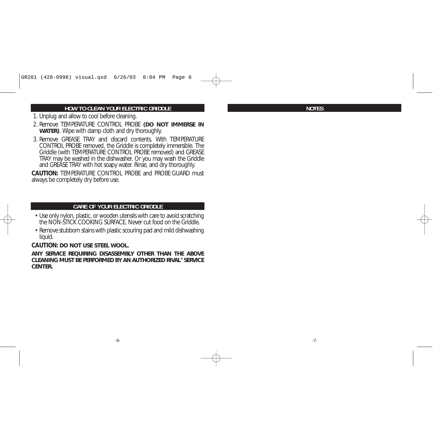#### **HOW TO CLEAN YOUR ELECTRIC GRIDDLE**

- 1. Unplug and allow to cool before cleaning.
- 2. Remove TEMPERATURE CONTROL PROBE **(DO NOT IMMERSE IN WATER)**. Wipe with damp cloth and dry thoroughly.
- 3. Remove GREASE TRAY and discard contents. With TEMPERATURECONTROL PROBE removed, the Griddle is completely immersible. The Griddle (with TEMPERATURE CONTROL PROBE removed) and GREASE TRAY may be washed in the dishwasher. Or you may wash the Griddle and GREASE TRAY with hot soapy water. Rinse, and dry thoroughly.

**CAUTION:** TEMPERATURE CONTROL PROBE and PROBE GUARD mustalways be completely dry before use.

#### **CARE OF YOUR ELECTRIC GRIDDLE**

- Use only nylon, plastic, or wooden utensils with care to avoid scratching the NON-STICK COOKING SURFACE. Never cut food on the Griddle.
- Remove stubborn stains with plastic scouring pad and mild dishwashing liquid.

#### **CAUTION: DO NOT USE STEEL WOOL.**

**ANY SERVICE REQUIRING DISASSEMBLY OTHER THAN THE ABOVECLEANING MUST BE PERFORMED BY AN AUTHORIZED RIVAL® SERVICECENTER.**